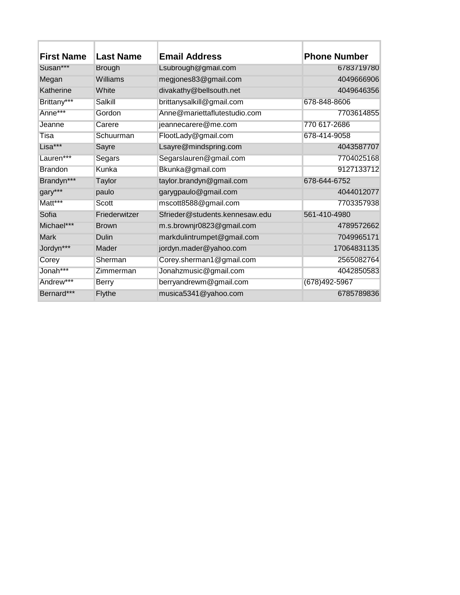| <b>First Name</b> | <b>Last Name</b> | <b>Email Address</b>           | <b>Phone Number</b> |
|-------------------|------------------|--------------------------------|---------------------|
| Susan***          | <b>Brough</b>    | Lsubrough@gmail.com            | 6783719780          |
| Megan             | Williams         | megjones83@gmail.com           | 4049666906          |
| Katherine         | White            | divakathy@bellsouth.net        | 4049646356          |
| Brittany***       | Salkill          | brittanysalkill@gmail.com      | 678-848-8606        |
| Anne***           | Gordon           | Anne@mariettaflutestudio.com   | 7703614855          |
| Jeanne            | Carere           | jeannecarere@me.com            | 770 617-2686        |
| <b>Tisa</b>       | Schuurman        | FlootLady@gmail.com            | 678-414-9058        |
| Lisa***           | Sayre            | Lsayre@mindspring.com          | 4043587707          |
| Lauren***         | Segars           | Segarslauren@gmail.com         | 7704025168          |
| <b>Brandon</b>    | <b>Kunka</b>     | Bkunka@gmail.com               | 9127133712          |
| Brandyn***        | <b>Taylor</b>    | taylor.brandyn@gmail.com       | 678-644-6752        |
| gary***           | paulo            | garygpaulo@gmail.com           | 4044012077          |
| Matt***           | Scott            | mscott8588@gmail.com           | 7703357938          |
| Sofia             | Friederwitzer    | Sfrieder@students.kennesaw.edu | 561-410-4980        |
| Michael***        | <b>Brown</b>     | m.s.brownjr0823@gmail.com      | 4789572662          |
| <b>Mark</b>       | Dulin            | markdulintrumpet@gmail.com     | 7049965171          |
| Jordyn***         | Mader            | jordyn.mader@yahoo.com         | 17064831135         |
| Corey             | Sherman          | Corey.sherman1@gmail.com       | 2565082764          |
| Jonah***          | Zimmerman        | Jonahzmusic@gmail.com          | 4042850583          |
| Andrew***         | <b>Berry</b>     | berryandrewm@gmail.com         | (678) 492-5967      |
| Bernard***        | Flythe           | musica5341@yahoo.com           | 6785789836          |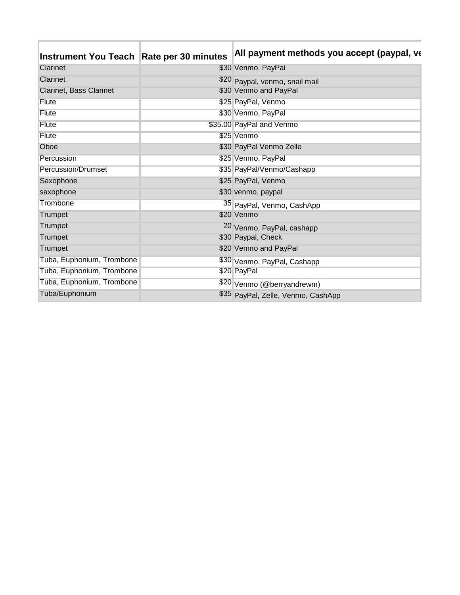| Instrument You Teach Rate per 30 minutes | All payment methods you accept (paypal, ve |
|------------------------------------------|--------------------------------------------|
| Clarinet                                 | \$30 Venmo, PayPal                         |
| Clarinet                                 | \$20 Paypal, venmo, snail mail             |
| <b>Clarinet, Bass Clarinet</b>           | \$30 Venmo and PayPal                      |
| <b>Flute</b>                             | \$25 PayPal, Venmo                         |
| <b>Flute</b>                             | \$30 Venmo, PayPal                         |
| Flute                                    | \$35.00 PayPal and Venmo                   |
| Flute                                    | \$25 Venmo                                 |
| Oboe                                     | \$30 PayPal Venmo Zelle                    |
| Percussion                               | \$25 Venmo, PayPal                         |
| <b>Percussion/Drumset</b>                | \$35 PayPal/Venmo/Cashapp                  |
| Saxophone                                | \$25 PayPal, Venmo                         |
| saxophone                                | \$30 venmo, paypal                         |
| Trombone                                 | 35 PayPal, Venmo, CashApp                  |
| Trumpet                                  | \$20 Venmo                                 |
| Trumpet                                  | 20 Venmo, PayPal, cashapp                  |
| Trumpet                                  | \$30 Paypal, Check                         |
| Trumpet                                  | \$20 Venmo and PayPal                      |
| Tuba, Euphonium, Trombone                | \$30 Venmo, PayPal, Cashapp                |
| Tuba, Euphonium, Trombone                | \$20 PayPal                                |
| Tuba, Euphonium, Trombone                | \$20 Venmo (@berryandrewm)                 |
| Tuba/Euphonium                           | \$35 PayPal, Zelle, Venmo, CashApp         |